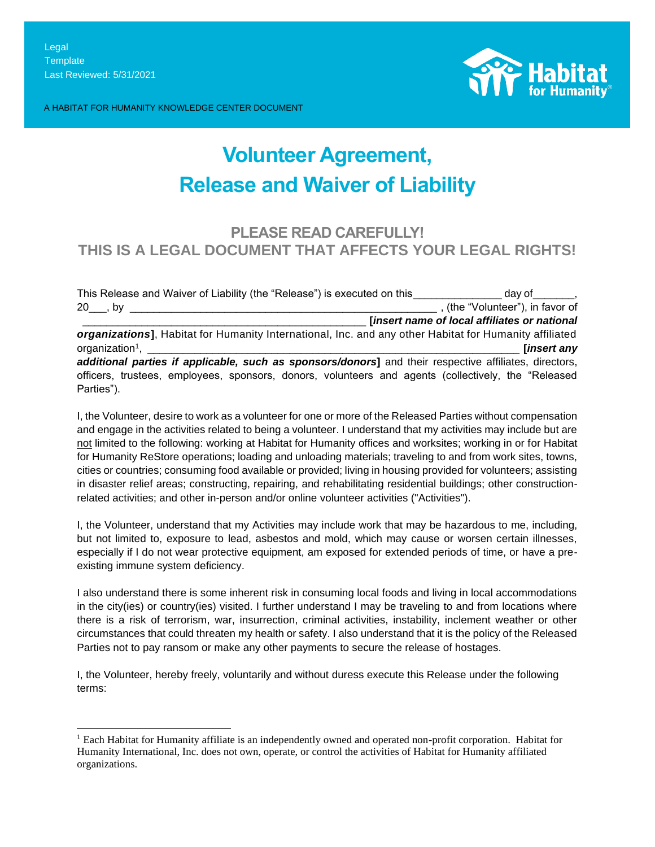A HABITAT FOR HUMANITY KNOWLEDGE CENTER DOCUMENT



# **Volunteer Agreement, Release and Waiver of Liability**

## **PLEASE READ CAREFULLY! THIS IS A LEGAL DOCUMENT THAT AFFECTS YOUR LEGAL RIGHTS!**

| This Release and Waiver of Liability (the "Release") is executed on this day of the stay of            |                                                           |
|--------------------------------------------------------------------------------------------------------|-----------------------------------------------------------|
| $20$ , by _                                                                                            | $\overline{\phantom{a}}$ , (the "Volunteer"), in favor of |
|                                                                                                        | [insert name of local affiliates or national              |
| organizations], Habitat for Humanity International, Inc. and any other Habitat for Humanity affiliated |                                                           |
| organization <sup>1</sup> ,                                                                            | [insert any                                               |
| additional parties if applicable, such as sponsors/donors] and their respective affiliates, directors, |                                                           |
|                                                                                                        |                                                           |
| officers, trustees, employees, sponsors, donors, volunteers and agents (collectively, the "Released    |                                                           |

I, the Volunteer, desire to work as a volunteer for one or more of the Released Parties without compensation and engage in the activities related to being a volunteer. I understand that my activities may include but are not limited to the following: working at Habitat for Humanity offices and worksites; working in or for Habitat for Humanity ReStore operations; loading and unloading materials; traveling to and from work sites, towns, cities or countries; consuming food available or provided; living in housing provided for volunteers; assisting in disaster relief areas; constructing, repairing, and rehabilitating residential buildings; other constructionrelated activities; and other in-person and/or online volunteer activities ("Activities").

I, the Volunteer, understand that my Activities may include work that may be hazardous to me, including, but not limited to, exposure to lead, asbestos and mold, which may cause or worsen certain illnesses, especially if I do not wear protective equipment, am exposed for extended periods of time, or have a preexisting immune system deficiency.

I also understand there is some inherent risk in consuming local foods and living in local accommodations in the city(ies) or country(ies) visited. I further understand I may be traveling to and from locations where there is a risk of terrorism, war, insurrection, criminal activities, instability, inclement weather or other circumstances that could threaten my health or safety. I also understand that it is the policy of the Released Parties not to pay ransom or make any other payments to secure the release of hostages.

I, the Volunteer, hereby freely, voluntarily and without duress execute this Release under the following terms:

<sup>&</sup>lt;sup>1</sup> Each Habitat for Humanity affiliate is an independently owned and operated non-profit corporation. Habitat for Humanity International, Inc. does not own, operate, or control the activities of Habitat for Humanity affiliated organizations.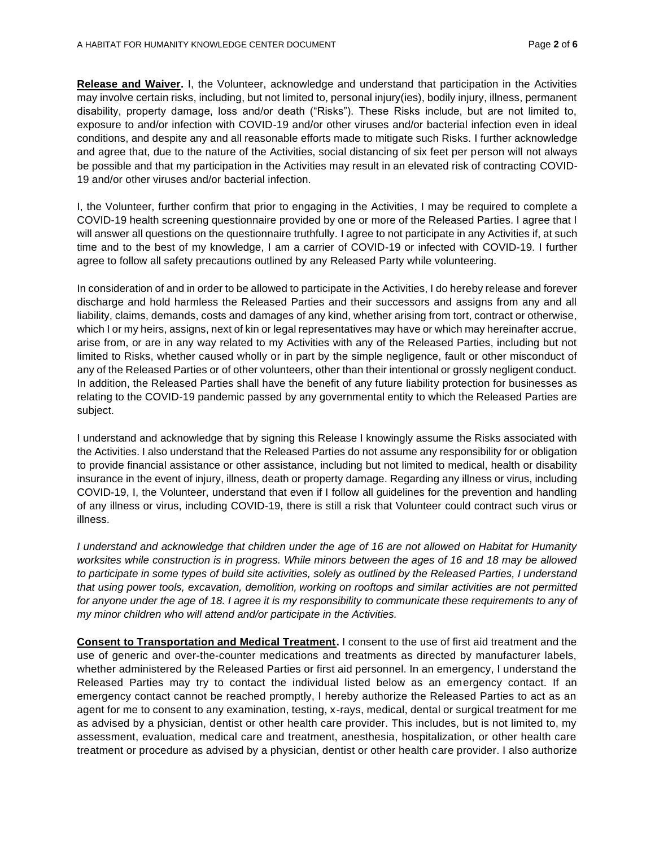**Release and Waiver.** I, the Volunteer, acknowledge and understand that participation in the Activities may involve certain risks, including, but not limited to, personal injury(ies), bodily injury, illness, permanent disability, property damage, loss and/or death ("Risks"). These Risks include, but are not limited to, exposure to and/or infection with COVID-19 and/or other viruses and/or bacterial infection even in ideal conditions, and despite any and all reasonable efforts made to mitigate such Risks. I further acknowledge and agree that, due to the nature of the Activities, social distancing of six feet per person will not always be possible and that my participation in the Activities may result in an elevated risk of contracting COVID-19 and/or other viruses and/or bacterial infection.

I, the Volunteer, further confirm that prior to engaging in the Activities, I may be required to complete a COVID-19 health screening questionnaire provided by one or more of the Released Parties. I agree that I will answer all questions on the questionnaire truthfully. I agree to not participate in any Activities if, at such time and to the best of my knowledge, I am a carrier of COVID-19 or infected with COVID-19. I further agree to follow all safety precautions outlined by any Released Party while volunteering.

In consideration of and in order to be allowed to participate in the Activities, I do hereby release and forever discharge and hold harmless the Released Parties and their successors and assigns from any and all liability, claims, demands, costs and damages of any kind, whether arising from tort, contract or otherwise, which I or my heirs, assigns, next of kin or legal representatives may have or which may hereinafter accrue, arise from, or are in any way related to my Activities with any of the Released Parties, including but not limited to Risks, whether caused wholly or in part by the simple negligence, fault or other misconduct of any of the Released Parties or of other volunteers, other than their intentional or grossly negligent conduct. In addition, the Released Parties shall have the benefit of any future liability protection for businesses as relating to the COVID-19 pandemic passed by any governmental entity to which the Released Parties are subject.

I understand and acknowledge that by signing this Release I knowingly assume the Risks associated with the Activities. I also understand that the Released Parties do not assume any responsibility for or obligation to provide financial assistance or other assistance, including but not limited to medical, health or disability insurance in the event of injury, illness, death or property damage. Regarding any illness or virus, including COVID-19, I, the Volunteer, understand that even if I follow all guidelines for the prevention and handling of any illness or virus, including COVID-19, there is still a risk that Volunteer could contract such virus or illness.

*I* understand and acknowledge that children under the age of 16 are not allowed on Habitat for Humanity *worksites while construction is in progress. While minors between the ages of 16 and 18 may be allowed to participate in some types of build site activities, solely as outlined by the Released Parties, I understand that using power tools, excavation, demolition, working on rooftops and similar activities are not permitted*  for anyone under the age of 18. I agree it is my responsibility to communicate these requirements to any of *my minor children who will attend and/or participate in the Activities.*

**Consent to Transportation and Medical Treatment.** I consent to the use of first aid treatment and the use of generic and over-the-counter medications and treatments as directed by manufacturer labels, whether administered by the Released Parties or first aid personnel. In an emergency, I understand the Released Parties may try to contact the individual listed below as an emergency contact. If an emergency contact cannot be reached promptly, I hereby authorize the Released Parties to act as an agent for me to consent to any examination, testing, x-rays, medical, dental or surgical treatment for me as advised by a physician, dentist or other health care provider. This includes, but is not limited to, my assessment, evaluation, medical care and treatment, anesthesia, hospitalization, or other health care treatment or procedure as advised by a physician, dentist or other health care provider. I also authorize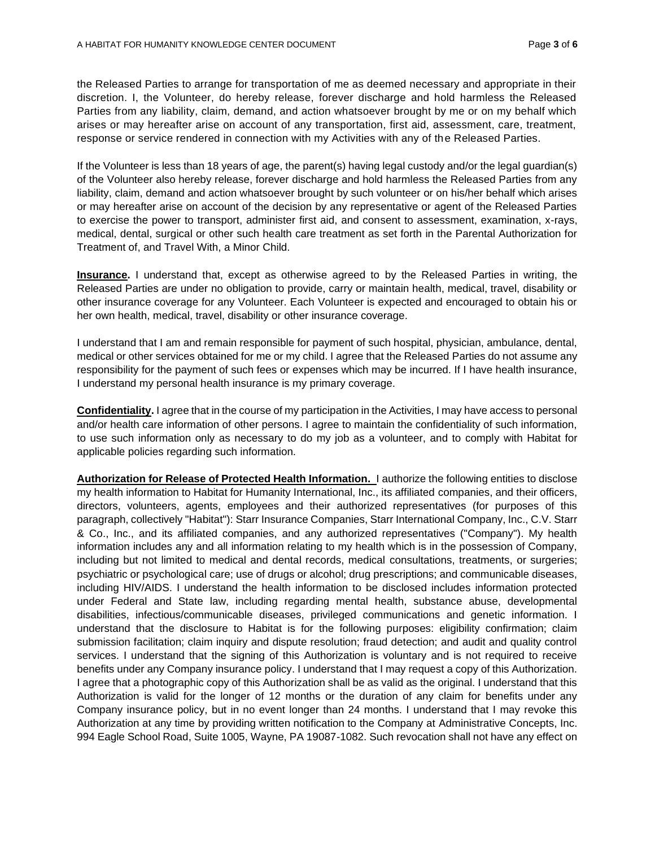the Released Parties to arrange for transportation of me as deemed necessary and appropriate in their discretion. I, the Volunteer, do hereby release, forever discharge and hold harmless the Released Parties from any liability, claim, demand, and action whatsoever brought by me or on my behalf which arises or may hereafter arise on account of any transportation, first aid, assessment, care, treatment, response or service rendered in connection with my Activities with any of the Released Parties.

If the Volunteer is less than 18 years of age, the parent(s) having legal custody and/or the legal guardian(s) of the Volunteer also hereby release, forever discharge and hold harmless the Released Parties from any liability, claim, demand and action whatsoever brought by such volunteer or on his/her behalf which arises or may hereafter arise on account of the decision by any representative or agent of the Released Parties to exercise the power to transport, administer first aid, and consent to assessment, examination, x-rays, medical, dental, surgical or other such health care treatment as set forth in the Parental Authorization for Treatment of, and Travel With, a Minor Child.

**Insurance.** I understand that, except as otherwise agreed to by the Released Parties in writing, the Released Parties are under no obligation to provide, carry or maintain health, medical, travel, disability or other insurance coverage for any Volunteer. Each Volunteer is expected and encouraged to obtain his or her own health, medical, travel, disability or other insurance coverage.

I understand that I am and remain responsible for payment of such hospital, physician, ambulance, dental, medical or other services obtained for me or my child. I agree that the Released Parties do not assume any responsibility for the payment of such fees or expenses which may be incurred. If I have health insurance, I understand my personal health insurance is my primary coverage.

**Confidentiality.** I agree that in the course of my participation in the Activities, I may have access to personal and/or health care information of other persons. I agree to maintain the confidentiality of such information, to use such information only as necessary to do my job as a volunteer, and to comply with Habitat for applicable policies regarding such information.

**Authorization for Release of Protected Health Information.** I authorize the following entities to disclose my health information to Habitat for Humanity International, Inc., its affiliated companies, and their officers, directors, volunteers, agents, employees and their authorized representatives (for purposes of this paragraph, collectively "Habitat"): Starr Insurance Companies, Starr International Company, Inc., C.V. Starr & Co., Inc., and its affiliated companies, and any authorized representatives ("Company"). My health information includes any and all information relating to my health which is in the possession of Company, including but not limited to medical and dental records, medical consultations, treatments, or surgeries; psychiatric or psychological care; use of drugs or alcohol; drug prescriptions; and communicable diseases, including HIV/AIDS. I understand the health information to be disclosed includes information protected under Federal and State law, including regarding mental health, substance abuse, developmental disabilities, infectious/communicable diseases, privileged communications and genetic information. I understand that the disclosure to Habitat is for the following purposes: eligibility confirmation; claim submission facilitation; claim inquiry and dispute resolution; fraud detection; and audit and quality control services. I understand that the signing of this Authorization is voluntary and is not required to receive benefits under any Company insurance policy. I understand that I may request a copy of this Authorization. I agree that a photographic copy of this Authorization shall be as valid as the original. I understand that this Authorization is valid for the longer of 12 months or the duration of any claim for benefits under any Company insurance policy, but in no event longer than 24 months. I understand that I may revoke this Authorization at any time by providing written notification to the Company at Administrative Concepts, Inc. 994 Eagle School Road, Suite 1005, Wayne, PA 19087-1082. Such revocation shall not have any effect on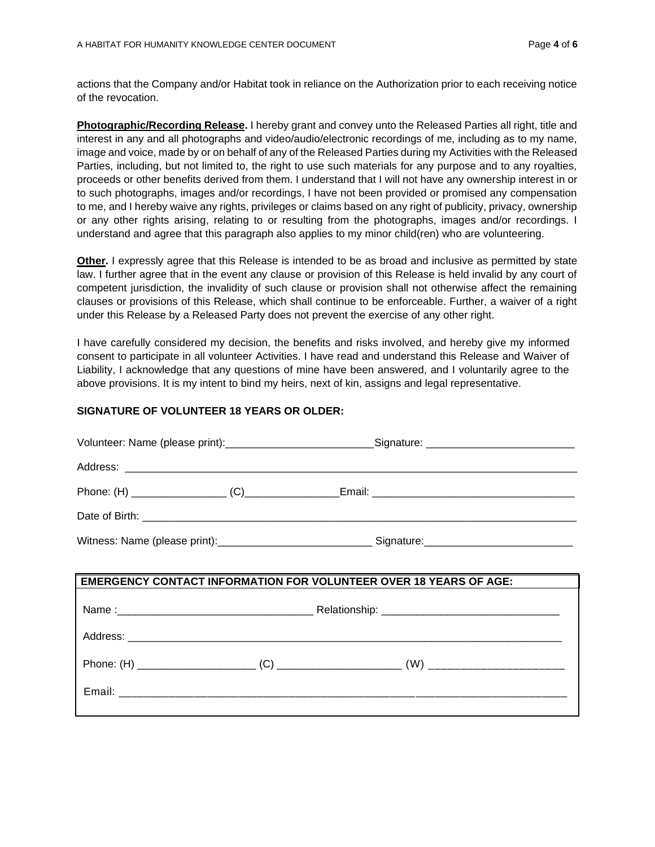actions that the Company and/or Habitat took in reliance on the Authorization prior to each receiving notice of the revocation.

**Photographic/Recording Release.** I hereby grant and convey unto the Released Parties all right, title and interest in any and all photographs and video/audio/electronic recordings of me, including as to my name, image and voice, made by or on behalf of any of the Released Parties during my Activities with the Released Parties, including, but not limited to, the right to use such materials for any purpose and to any royalties, proceeds or other benefits derived from them. I understand that I will not have any ownership interest in or to such photographs, images and/or recordings, I have not been provided or promised any compensation to me, and I hereby waive any rights, privileges or claims based on any right of publicity, privacy, ownership or any other rights arising, relating to or resulting from the photographs, images and/or recordings. I understand and agree that this paragraph also applies to my minor child(ren) who are volunteering.

**Other.** I expressly agree that this Release is intended to be as broad and inclusive as permitted by state law. I further agree that in the event any clause or provision of this Release is held invalid by any court of competent jurisdiction, the invalidity of such clause or provision shall not otherwise affect the remaining clauses or provisions of this Release, which shall continue to be enforceable. Further, a waiver of a right under this Release by a Released Party does not prevent the exercise of any other right.

I have carefully considered my decision, the benefits and risks involved, and hereby give my informed consent to participate in all volunteer Activities. I have read and understand this Release and Waiver of Liability, I acknowledge that any questions of mine have been answered, and I voluntarily agree to the above provisions. It is my intent to bind my heirs, next of kin, assigns and legal representative.

#### **SIGNATURE OF VOLUNTEER 18 YEARS OR OLDER:**

|  | Volunteer: Name (please print):____________________________Signature: _____________________________  |
|--|------------------------------------------------------------------------------------------------------|
|  |                                                                                                      |
|  |                                                                                                      |
|  |                                                                                                      |
|  | Witness: Name (please print):__________________________________Signature:___________________________ |
|  |                                                                                                      |
|  | <b>EMERGENCY CONTACT INFORMATION FOR VOLUNTEER OVER 18 YEARS OF AGE:</b>                             |
|  |                                                                                                      |
|  |                                                                                                      |
|  |                                                                                                      |
|  |                                                                                                      |
|  |                                                                                                      |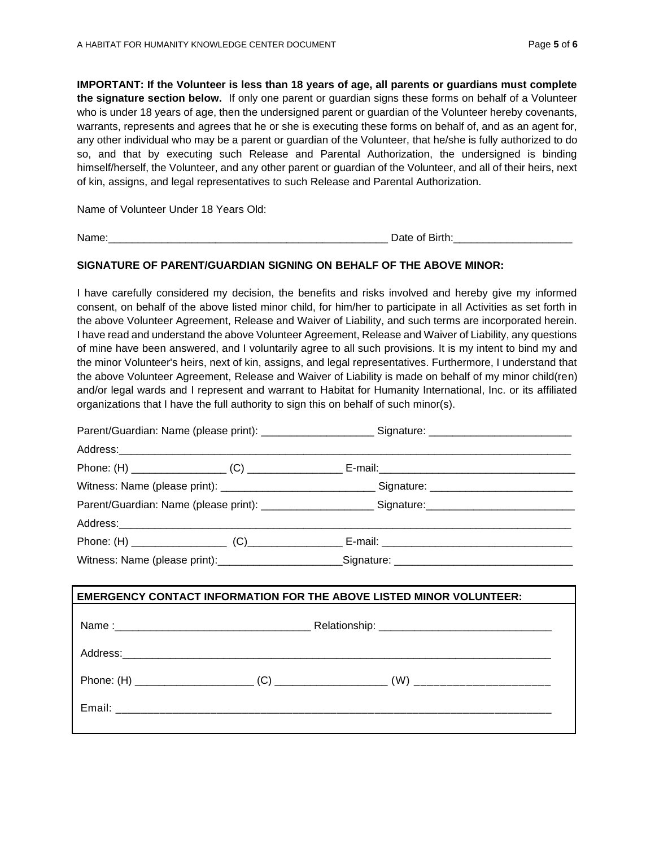**IMPORTANT: If the Volunteer is less than 18 years of age, all parents or guardians must complete the signature section below.** If only one parent or guardian signs these forms on behalf of a Volunteer who is under 18 years of age, then the undersigned parent or guardian of the Volunteer hereby covenants, warrants, represents and agrees that he or she is executing these forms on behalf of, and as an agent for, any other individual who may be a parent or guardian of the Volunteer, that he/she is fully authorized to do so, and that by executing such Release and Parental Authorization, the undersigned is binding himself/herself, the Volunteer, and any other parent or guardian of the Volunteer, and all of their heirs, next of kin, assigns, and legal representatives to such Release and Parental Authorization.

Name of Volunteer Under 18 Years Old:

Name:\_\_\_\_\_\_\_\_\_\_\_\_\_\_\_\_\_\_\_\_\_\_\_\_\_\_\_\_\_\_\_\_\_\_\_\_\_\_\_\_\_\_\_\_\_\_\_ Date of Birth:\_\_\_\_\_\_\_\_\_\_\_\_\_\_\_\_\_\_\_\_

#### **SIGNATURE OF PARENT/GUARDIAN SIGNING ON BEHALF OF THE ABOVE MINOR:**

I have carefully considered my decision, the benefits and risks involved and hereby give my informed consent, on behalf of the above listed minor child, for him/her to participate in all Activities as set forth in the above Volunteer Agreement, Release and Waiver of Liability, and such terms are incorporated herein. I have read and understand the above Volunteer Agreement, Release and Waiver of Liability, any questions of mine have been answered, and I voluntarily agree to all such provisions. It is my intent to bind my and the minor Volunteer's heirs, next of kin, assigns, and legal representatives. Furthermore, I understand that the above Volunteer Agreement, Release and Waiver of Liability is made on behalf of my minor child(ren) and/or legal wards and I represent and warrant to Habitat for Humanity International, Inc. or its affiliated organizations that I have the full authority to sign this on behalf of such minor(s).

| Parent/Guardian: Name (please print): ________________________Signature: ___________________________ |  |                                                                                                      |  |
|------------------------------------------------------------------------------------------------------|--|------------------------------------------------------------------------------------------------------|--|
|                                                                                                      |  |                                                                                                      |  |
|                                                                                                      |  |                                                                                                      |  |
|                                                                                                      |  |                                                                                                      |  |
|                                                                                                      |  | Parent/Guardian: Name (please print): _______________________Signature: ____________________________ |  |
|                                                                                                      |  |                                                                                                      |  |
|                                                                                                      |  |                                                                                                      |  |
|                                                                                                      |  | Witness: Name (please print): Signature: Signature: Microsoft Name (please print):                   |  |

| <b>EMERGENCY CONTACT INFORMATION FOR THE ABOVE LISTED MINOR VOLUNTEER:</b> |  |  |
|----------------------------------------------------------------------------|--|--|
|                                                                            |  |  |
|                                                                            |  |  |
|                                                                            |  |  |
|                                                                            |  |  |